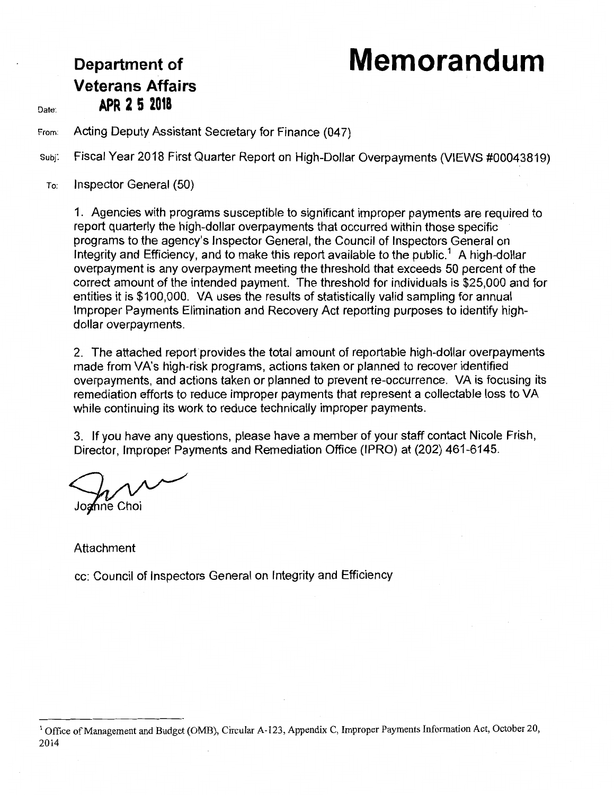# **Department of Memorandum**

## **Veterans Affairs**  Date: **APR 2 5 2018**

From: Acting Deputy Assistant Secretary for Finance (047)

subj: Fiscal Year 2018 First Quarter Report on High-Dollar Overpayments (VIEWS #00043819)

To: Inspector General (50)

1. Agencies with programs susceptible to significant improper payments are required to report quarterly the high-dollar overpayments that occurred within those specific programs to the agency's Inspector General, the Council of Inspectors General on Integrity and Efficiency, and to make this report available to the public.<sup>1</sup> A high-dollar overpayment is any overpayment meeting the threshold that exceeds 50 percent of the correct amount of the intended payment. The threshold for individuals is \$25,000 and for entities it is \$100,000. VA uses the results of statistically valid sampling for annual Improper Payments Elimination and Recovery Act reporting purposes to identify highdollar overpayments.

2. The attached report provides the total amount of reportable high-dollar overpayments made from VA's high-risk programs, actions taken or planned to recover identified overpayments, and actions taken or planned to prevent re-occurrence. VA is focusing its remediation efforts to reduce improper payments that represent a collectable loss to VA while continuing its work to reduce technically improper payments.

3. If you have any questions, please have a member of your staff contact Nicole Frish, Director, Improper Payments and Remediation Office (IPRO) at (202) 461-6145.

Joa⁄nne Choi

Attachment

cc: Council of Inspectors General on Integrity and Efficiency

<sup>&</sup>lt;sup>1</sup> Office of Management and Budget (OMB), Circular A-123, Appendix C, Improper Payments Information Act, October 20, 2014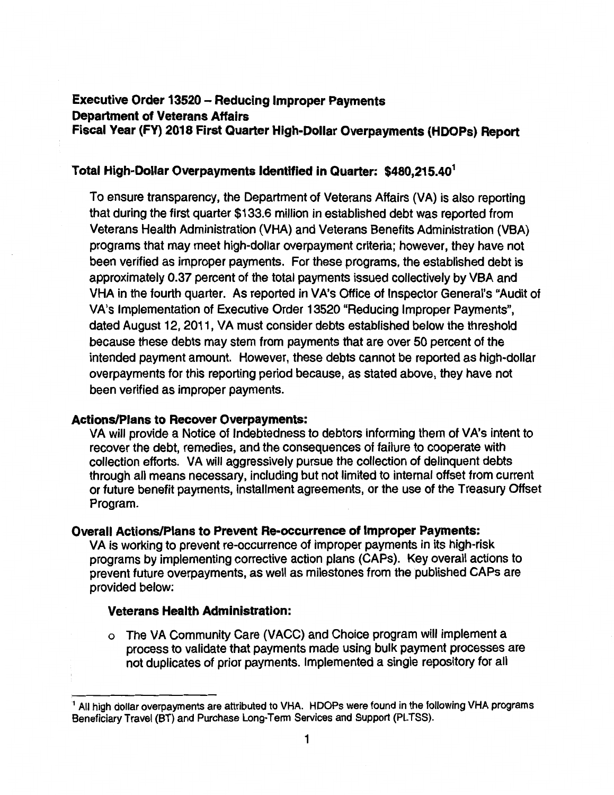### **Executive Order 13520 - Reducing Improper Payments Department of Veterans Affairs Fiscal Vear (FY) 2018 First Quarter High-Dollar Overpayments (HDOPs) Report**

#### **Total High-Dollar Overpayments Identified in Quarter: \$480,215.40<sup>1</sup>**

To ensure transparency, the Department of Veterans Affairs (VA) is also reporting that during the first quarter \$133.6 million in established debt was reported from Veterans Health Administration (VHA) and Veterans Benefits Administration (VBA) programs that may meet high-dollar overpayment criteria; however, they have not been verified as improper payments. For these programs, the established debt is approximately 0.37 percent of the total payments issued collectively by VBA and VHA in the fourth quarter. As reported in VA's Office of Inspector General's "Audit of VA's Implementation of Executive Order 13520 "Reducing Improper Payments", dated August 12, 2011, VA must consider debts established below the threshold because these debts may stem from payments that are over 50 percent of the intended payment amount. However, these debts cannot be reported as high-dollar overpayments for this reporting period because, as stated above, they have not been verified as improper payments.

#### **Actions/Plans to Recover Overpayments:**

VA will provide a Notice of Indebtedness to debtors informing them of VA's intent to recover the debt, remedies, and the consequences of failure to cooperate with collection efforts. VA will aggressively pursue the collection of delinquent debts through all means necessary, including but not limited to internal offset from current or future benefit payments, installment agreements, or the use of the Treasury Offset Program.

#### **Overall Actions/Plans to Prevent Re-occurrence of Improper Payments:**

VA is working to prevent re-occurrence of improper payments in its high-risk programs by implementing corrective action plans (CAPs). Key overall actions to prevent future overpayments, as well as milestones from the published CAPs are provided below:

#### **Veterans Health Administration:**

o The VA Community Care (VACC) and Choice program will implement a process to validate that payments made using bulk payment processes are not duplicates of prior payments. Implemented a single repository for all

<sup>&</sup>lt;sup>1</sup> All high dollar overpayments are attributed to VHA. HDOPs were found in the following VHA programs Beneficiary Travel (BT) and Purchase Long-Term Services and Support (PLTSS).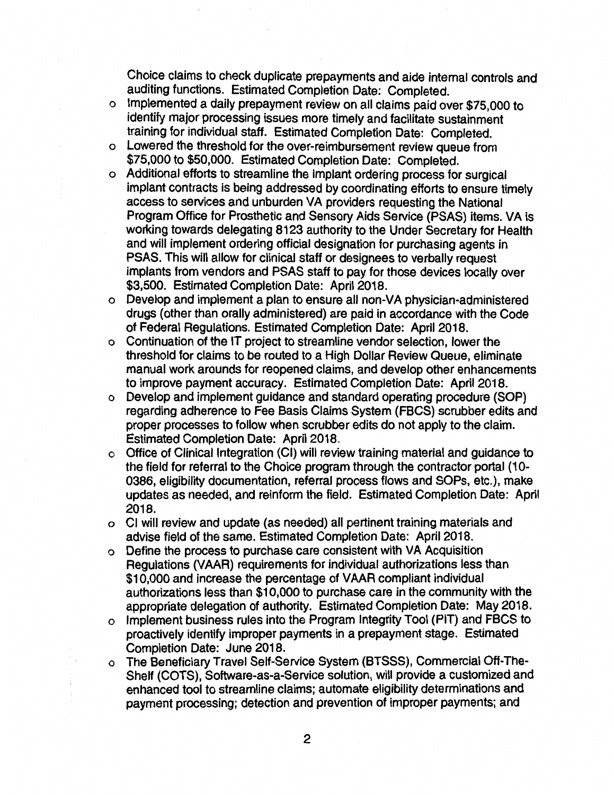Choice claims to check duplicate prepayments and aide internal controls and auditing functions. Estimated Completion Date: Completed.

- o Implemented a daily prepayment review on all claims paid over \$75,000 to identify major processing issues more timely and facilitate sustainment training for individual staff. Estimated Completion Date: Completed.
- o Lowered the threshold for the over-reimbursement review queue from \$75,000 to \$50,000. Estimated Completion Date: Completed.
- o Additional efforts to streamline the implant ordering process for surgical implant contracts is being addressed by coordinating efforts to ensure timely access to services and unburden VA providers requesting the National Program Office for Prosthetic and Sensory Aids Service (PSAS) items. VA is working towards delegating 8123 authority to the Under Secretary for Health and will implement ordering official designation for purchasing agents in PSAS. This will allow for clinical staff or designees to verbally request implants from vendors and PSAS staff to pay for those devices locally over \$3,500. Estimated Completion Date: April 2018.
- o Develop and implement a plan to ensure all non-VA physician-administered drugs ( other than orally administered) are paid in accordance with the Code of Federal Regulations. Estimated Completion Date: April 2018.
- o Continuation of the IT project to streamline vendor selection, lower the threshold for claims to be routed to a High Dollar Review Queue, eliminate manual work arounds for reopened claims, and develop other enhancements to improve payment accuracy. Estimated Completion Date: April 2018.
- o Develop and implement guidance and standard operating procedure (SOP) regarding adherence to Fee Basis Claims System (FBCS) scrubber edits and proper processes to follow when scrubber edits do not apply to the claim. Estimated Completion Date: April 2018.
- o Office of Clinical Integration (Cl) will review training material and guidance to the field for referral to the Choice program through the contractor portal (10- 0386, eligibility documentation, referral process flows and SOPs, etc.), make updates as needed, and reinform the field. Estimated Completion Date: April 2018.
- o Cl will review and update (as needed) all pertinent training materials and advise field of the same. Estimated Completion Date: April 2018.
- o Define the process to purchase care consistent with VA Acquisition Regulations (VAAR) requirements for individual authorizations less than \$10,000 and increase the percentage of VAAR compliant individual authorizations less than \$10,000 to purchase care in the community with the appropriate delegation of authority. Estimated Completion Date: May 2018.
- o Implement business rules into the Program Integrity Tool (PIT) and FBCS to proactively identify improper payments in a prepayment stage. Estimated Completion Date: June 2018.
- o The Beneficiary Travel Self-Service System (BTSSS}, Commercial Off-The-Shelf (COTS), Software-as-a-Service solution, will provide a customized and enhanced tool to streamline claims; automate eligibility determinations and payment processing; detection and prevention of improper payments; and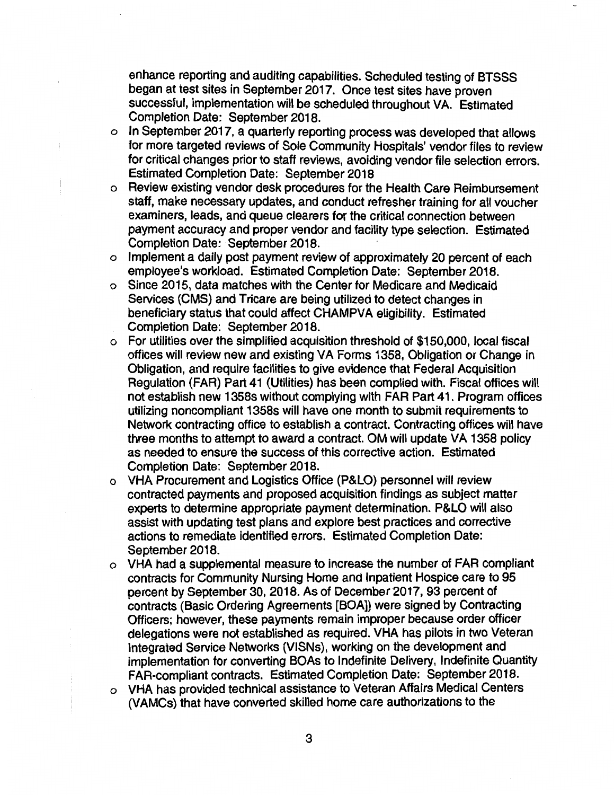enhance reporting and auditing capabilities. Scheduled testing of BTSSS began at test sites in September 2017. Once test sites have proven successful, implementation will be scheduled throughout VA. Estimated Completion Date: September 2018.

- o In September 2017, a quarterly reporting process was developed that allows for more targeted reviews of Sole Community Hospitals' vendor files to review for critical changes prior to staff reviews, avoiding vendor file selection errors. Estimated Completion Date: September 2018
- o Review existing vendor desk procedures for the Health Care Reimbursement staff, make necessary updates, and conduct refresher training for all voucher examiners, leads, and queue clearers for the critical connection between payment accuracy and proper vendor and facility type selection. Estimated Completion Date: September 2018.
- o Implement a daily post payment review of approximately 20 percent of each employee's workload. Estimated Completion Date: September 2018.
- o Since 2015, data matches with the Center for Medicare and Medicaid Services (CMS} and Tricare are being utilized to detect changes in beneficiary status that could affect CHAMPVA eligibility. Estimated Completion Date: September 2018.
- o For utilities over the simplified acquisition threshold of \$150,000, local fiscal offices will review new and existing VA Forms 1358, Obligation or Change in Obligation, and require facilities to give evidence that Federal Acquisition Regulation (FAR} Part 41 (Utilities} has been complied with. Fiscal offices will not establish new 1358s without complying with FAR Part 41. Program offices utilizing noncompliant 1358s will have one month to submit requirements to Network contracting office to establish a contract. Contracting offices will have three months to attempt to award a contract. OM will update VA 1358 policy as needed to ensure the success of this corrective action. Estimated Completion Date: September 2018.
- o VHA Procurement and Logistics Office (P&LO} personnel will review contracted payments and proposed acquisition findings as subject matter experts to determine appropriate payment determination. P&LO will also assist with updating test plans and explore best practices and corrective actions to remediate identified errors. Estimated Completion Date: September 2018.
- o VHA had a supplemental measure to increase the number of FAR compliant contracts for Community Nursing Home and Inpatient Hospice care to 95 percent by September 30, 2018. As of December 2017, 93 percent of contracts (Basic Ordering Agreements [BOA]} were signed by Contracting Officers; however, these payments remain improper because order officer delegations were not established as required. VHA has pilots in two Veteran Integrated Service Networks (VISNs), working on the development and implementation for converting BOAs to Indefinite Delivery, Indefinite Quantity FAR-compliant contracts. Estimated Completion Date: September 2018. o VHA has provided technical assistance to Veteran Affairs Medical Centers
	- (VAMCs) that have converted skilled home care authorizations to the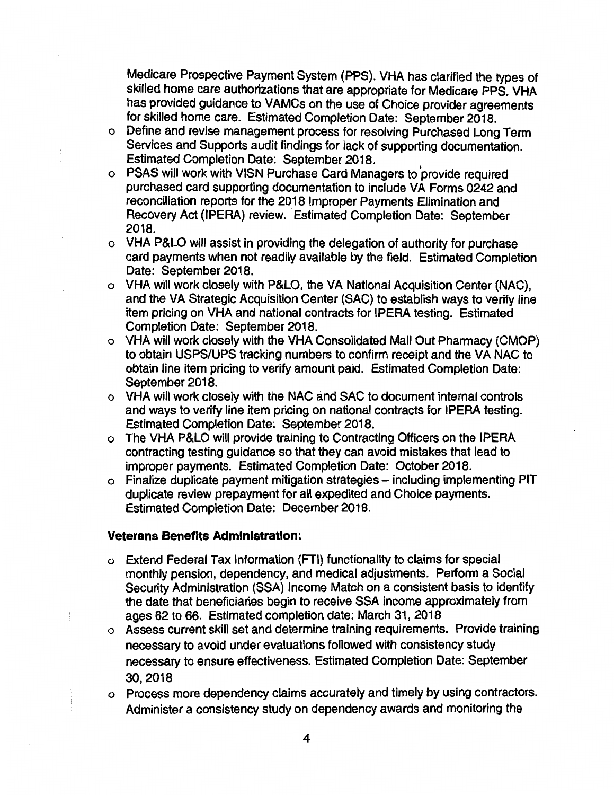Medicare Prospective Payment System (PPS). VHA has clarified the types of skilled home care authorizations that are appropriate for Medicare PPS. VHA has provided guidance to VAMCs on the use of Choice provider agreements for skilled home care. Estimated Completion Date: September 2018.

- o Define and revise management process for resolving Purchased Long Term Services and Supports audit findings for lack of supporting documentation. Estimated Completion Date: September 2018.
- o PSAS will work with VISN Purchase Card Managers to 'provide required purchased card supporting documentation to include VA Forms 0242 and reconciliation reports for the 2018 Improper Payments Elimination and Recovery Act (IPERA) review. Estimated Completion Date: September 2018.
- o VHA P&LO will assist in providing the delegation of authority for purchase card payments when not readily available by the field. Estimated Completion Date: September 2018.
- o VHA will work closely with P&LO, the VA National Acquisition Center (NAC), and the VA Strategic Acquisition Center (SAC) to establish ways to verify line item pricing on VHA and national contracts for IPERA testing. Estimated Completion Date: September 2018.
- o VHA will work closely with the VHA Consolidated Mail Out Pharmacy (CMOP) to obtain USPS/UPS tracking numbers to confirm receipt and the VA NAC to obtain line item pricing to verify amount paid. Estimated Completion Date: September 2018.
- o VHA will work closely with the NAC and SAC to document internal controls and ways to verify line item pricing on national contracts for IPERA testing. Estimated Completion Date: September 2018.
- o The VHA P&LO will provide training to Contracting Officers on the IPERA contracting testing guidance so that they can avoid mistakes that lead to improper payments. Estimated Completion Date: October 2018.
- o Finalize duplicate payment mitigation strategies including implementing PIT duplicate review prepayment for all expedited and Choice payments. Estimated Completion Date: December 2018.

#### **Veterans Benefits Administration:**

- o Extend Federal Tax Information (FTI) functionality to claims for special monthly pension, dependency, and medical adjustments. Perform a Social Security Administration (SSA) Income Match on a consistent basis to identify the date that beneficiaries begin to receive SSA income approximately from ages 62 to 66. Estimated completion date: March 31, 2018
- o Assess current skill set and determine training requirements. Provide training necessary to avoid under evaluations followed with consistency study necessary to ensure effectiveness. Estimated Completion Date: September 30,2018
- o Process more dependency claims accurately and timely by using contractors. Administer a consistency study on dependency awards and monitoring the